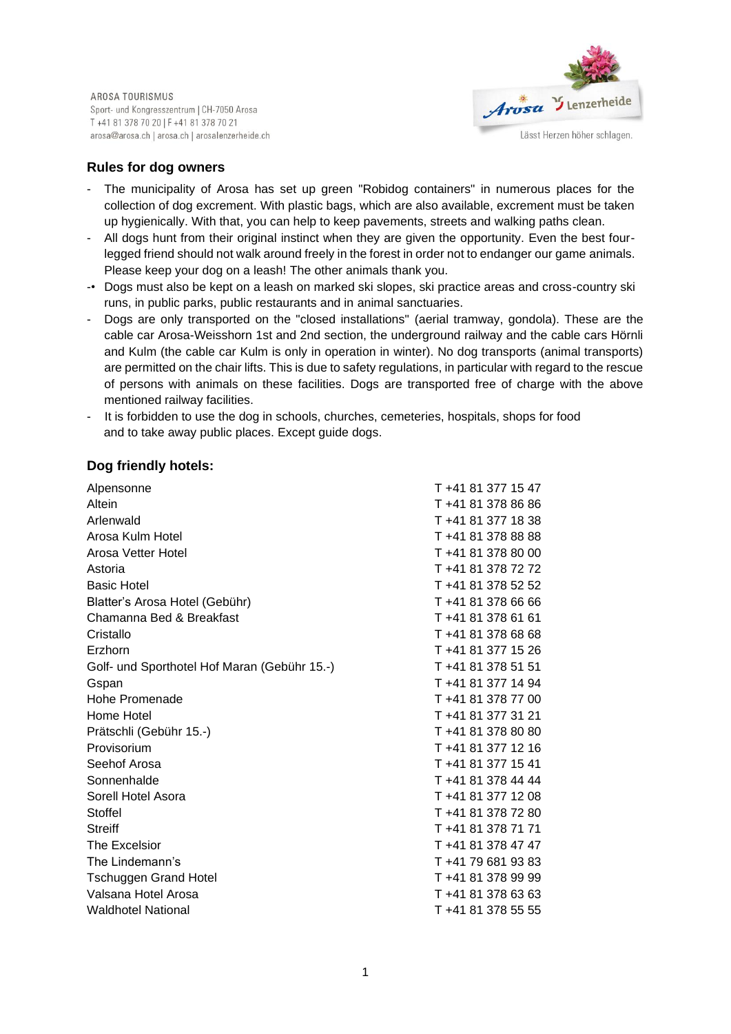AROSA TOURISMUS Sport- und Kongresszentrum | CH-7050 Arosa T +41 81 378 70 20 | F +41 81 378 70 21 arosa@arosa.ch | arosa.ch | arosalenzerheide.ch



### **Rules for dog owners**

- The municipality of Arosa has set up green "Robidog containers" in numerous places for the collection of dog excrement. With plastic bags, which are also available, excrement must be taken up hygienically. With that, you can help to keep pavements, streets and walking paths clean.
- All dogs hunt from their original instinct when they are given the opportunity. Even the best fourlegged friend should not walk around freely in the forest in order not to endanger our game animals. Please keep your dog on a leash! The other animals thank you.
- -• Dogs must also be kept on a leash on marked ski slopes, ski practice areas and cross-country ski runs, in public parks, public restaurants and in animal sanctuaries.
- Dogs are only transported on the "closed installations" (aerial tramway, gondola). These are the cable car Arosa-Weisshorn 1st and 2nd section, the underground railway and the cable cars Hörnli and Kulm (the cable car Kulm is only in operation in winter). No dog transports (animal transports) are permitted on the chair lifts. This is due to safety regulations, in particular with regard to the rescue of persons with animals on these facilities. Dogs are transported free of charge with the above mentioned railway facilities.
- It is forbidden to use the dog in schools, churches, cemeteries, hospitals, shops for food and to take away public places. Except guide dogs.

#### **Dog friendly hotels:**

| Alpensonne                                   | T +41 81 377 15 47 |
|----------------------------------------------|--------------------|
| Altein                                       | T+41 81 378 86 86  |
| Arlenwald                                    | T +41 81 377 18 38 |
| Arosa Kulm Hotel                             | T +41 81 378 88 88 |
| Arosa Vetter Hotel                           | T +41 81 378 80 00 |
| Astoria                                      | T +41 81 378 72 72 |
| <b>Basic Hotel</b>                           | T +41 81 378 52 52 |
| Blatter's Arosa Hotel (Gebühr)               | T+41 81 378 66 66  |
| Chamanna Bed & Breakfast                     | T+41 81 378 61 61  |
| Cristallo                                    | T +41 81 378 68 68 |
| Erzhorn                                      | T +41 81 377 15 26 |
| Golf- und Sporthotel Hof Maran (Gebühr 15.-) | T +41 81 378 51 51 |
| Gspan                                        | T +41 81 377 14 94 |
| Hohe Promenade                               | T +41 81 378 77 00 |
| Home Hotel                                   | T +41 81 377 31 21 |
| Prätschli (Gebühr 15.-)                      | T+41 81 378 80 80  |
| Provisorium                                  | T +41 81 377 12 16 |
| Seehof Arosa                                 | T +41 81 377 15 41 |
| Sonnenhalde                                  | T +41 81 378 44 44 |
| Sorell Hotel Asora                           | T +41 81 377 12 08 |
| Stoffel                                      | T+41 81 378 72 80  |
| <b>Streiff</b>                               | T +41 81 378 71 71 |
| The Excelsior                                | T +41 81 378 47 47 |
| The Lindemann's                              | T +41 79 681 93 83 |
| <b>Tschuggen Grand Hotel</b>                 | T +41 81 378 99 99 |
| Valsana Hotel Arosa                          | T +41 81 378 63 63 |
| <b>Waldhotel National</b>                    | T +41 81 378 55 55 |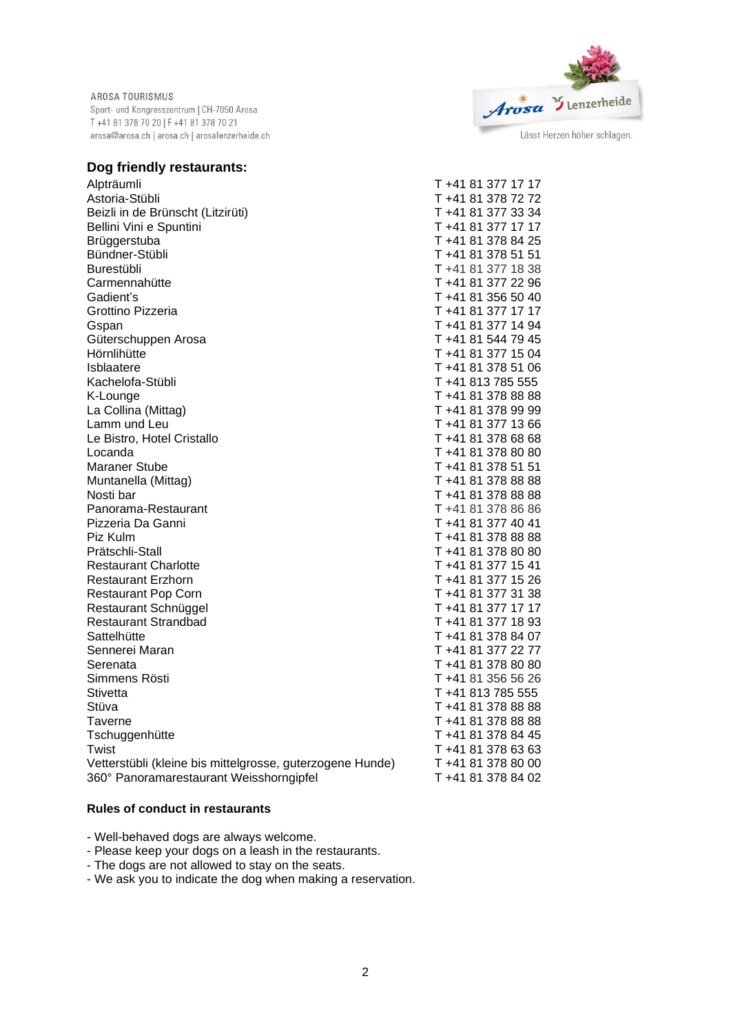AROSA TOURISMUS Sport- und Kongresszentrum | CH-7050 Arosa T +41 81 378 70 20 | F +41 81 378 70 21 arosa@arosa.ch | arosa.ch | arosalenzerheide.ch



# **Dog friendly restaurants:**

| Alpträumli                                                | T +41 81 377 17 17 |
|-----------------------------------------------------------|--------------------|
| Astoria-Stübli                                            | T +41 81 378 72 72 |
| Beizli in de Brünscht (Litzirüti)                         | T +41 81 377 33 34 |
| Bellini Vini e Spuntini                                   | T +41 81 377 17 17 |
| Brüggerstuba                                              | T +41 81 378 84 25 |
| Bündner-Stübli                                            | T +41 81 378 51 51 |
| Burestübli                                                | T +41 81 377 18 38 |
| Carmennahütte                                             | T +41 81 377 22 96 |
| Gadient's                                                 | T +41 81 356 50 40 |
| Grottino Pizzeria                                         | T +41 81 377 17 17 |
| Gspan                                                     | T +41 81 377 14 94 |
| Güterschuppen Arosa                                       | T +41 81 544 79 45 |
| Hörnlihütte                                               | T +41 81 377 15 04 |
| <b>Isblaatere</b>                                         | T +41 81 378 51 06 |
| Kachelofa-Stübli                                          | T +41 813 785 555  |
| K-Lounge                                                  | T +41 81 378 88 88 |
| La Collina (Mittag)                                       | T +41 81 378 99 99 |
| Lamm und Leu                                              | T +41 81 377 13 66 |
| Le Bistro, Hotel Cristallo                                | T +41 81 378 68 68 |
| Locanda                                                   | T +41 81 378 80 80 |
| <b>Maraner Stube</b>                                      | T +41 81 378 51 51 |
| Muntanella (Mittag)                                       | T+41 81 378 88 88  |
| Nosti bar                                                 | T +41 81 378 88 88 |
| Panorama-Restaurant                                       | T +41 81 378 86 86 |
| Pizzeria Da Ganni                                         | T +41 81 377 40 41 |
| Piz Kulm                                                  | T +41 81 378 88 88 |
| Prätschli-Stall                                           | T +41 81 378 80 80 |
| <b>Restaurant Charlotte</b>                               | T +41 81 377 15 41 |
| <b>Restaurant Erzhorn</b>                                 | T +41 81 377 15 26 |
| <b>Restaurant Pop Corn</b>                                | T +41 81 377 31 38 |
| Restaurant Schnüggel                                      | T +41 81 377 17 17 |
| <b>Restaurant Strandbad</b>                               | T +41 81 377 18 93 |
| Sattelhütte                                               | T +41 81 378 84 07 |
| Sennerei Maran                                            | T +41 81 377 22 77 |
| Serenata                                                  | T +41 81 378 80 80 |
| Simmens Rösti                                             | T +41 81 356 56 26 |
| <b>Stivetta</b>                                           | T +41 813 785 555  |
| Stüva                                                     | T +41 81 378 88 88 |
| Taverne                                                   | T +41 81 378 88 88 |
| Tschuggenhütte                                            | T +41 81 378 84 45 |
| Twist                                                     | T +41 81 378 63 63 |
| Vetterstübli (kleine bis mittelgrosse, guterzogene Hunde) | T +41 81 378 80 00 |
| 360° Panoramarestaurant Weisshorngipfel                   | T +41 81 378 84 02 |
|                                                           |                    |

### **Rules of conduct in restaurants**

- Well-behaved dogs are always welcome.

- Please keep your dogs on a leash in the restaurants.

- The dogs are not allowed to stay on the seats.

- We ask you to indicate the dog when making a reservation.